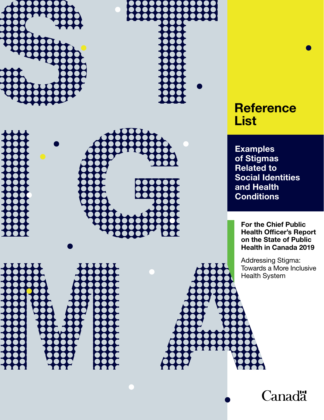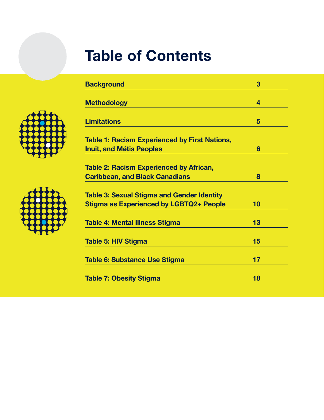# Table of Contents

| <b>Background</b>                                                                                   | 3  |  |
|-----------------------------------------------------------------------------------------------------|----|--|
| <b>Methodology</b>                                                                                  | 4  |  |
|                                                                                                     |    |  |
| <b>Limitations</b>                                                                                  | 5  |  |
| <b>Table 1: Racism Experienced by First Nations,</b>                                                |    |  |
| <b>Inuit, and Métis Peoples</b>                                                                     | 6  |  |
| <b>Table 2: Racism Experienced by African,</b>                                                      |    |  |
| <b>Caribbean, and Black Canadians</b>                                                               | 8  |  |
|                                                                                                     |    |  |
| <b>Table 3: Sexual Stigma and Gender Identity</b><br><b>Stigma as Experienced by LGBTQ2+ People</b> | 10 |  |
|                                                                                                     |    |  |
| <b>Table 4: Mental Illness Stigma</b>                                                               | 13 |  |
| <b>Table 5: HIV Stigma</b>                                                                          | 15 |  |
|                                                                                                     |    |  |
| Table 6: Substance Use Stigma                                                                       | 17 |  |
| <b>Table 7: Obesity Stigma</b>                                                                      | 18 |  |
|                                                                                                     |    |  |



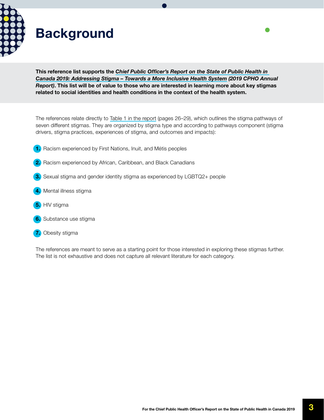<span id="page-2-0"></span>

## Background

This reference list supports the *[Chief Public Officer's Report on the State of Public Health in](https://www.canada.ca/en/public-health/corporate/publications/chief-public-health-officer-reports-state-public-health-canada/addressing-stigma-toward-more-inclusive-health-system.html)  [Canada 2019: Addressing Stigma – Towards a More Inclusive Health System](https://www.canada.ca/en/public-health/corporate/publications/chief-public-health-officer-reports-state-public-health-canada/addressing-stigma-toward-more-inclusive-health-system.html) (2019 CPHO Annual Report)*. This list will be of value to those who are interested in learning more about key stigmas related to social identities and health conditions in the context of the health system.

The references relate directly to [Table 1 in the report](https://www.canada.ca/en/public-health/corporate/publications/chief-public-health-officer-reports-state-public-health-canada/addressing-stigma-toward-more-inclusive-health-system.html#a4.4) (pages 26–29), which outlines the stigma pathways of seven different stigmas. They are organized by stigma type and according to pathways component (stigma drivers, stigma practices, experiences of stigma, and outcomes and impacts):

- 1. Racism experienced by First Nations, Inuit, and Métis peoples
- 2. Racism experienced by African, Caribbean, and Black Canadians
- **3.** Sexual stigma and gender identity stigma as experienced by LGBTQ2+ people
- 4. Mental illness stigma
- **5.** HIV stigma
- **6.** Substance use stigma
- **7.** Obesity stigma

The references are meant to serve as a starting point for those interested in exploring these stigmas further. The list is not exhaustive and does not capture all relevant literature for each category.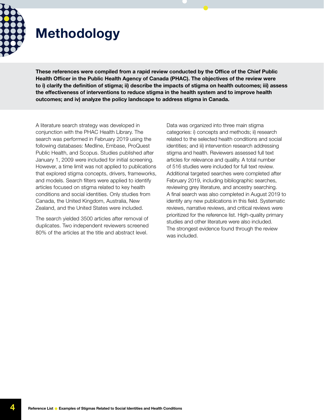<span id="page-3-0"></span>

## Methodology

These references were compiled from a rapid review conducted by the Office of the Chief Public Health Officer in the Public Health Agency of Canada (PHAC). The objectives of the review were to i) clarify the definition of stigma; ii) describe the impacts of stigma on health outcomes; iii) assess the effectiveness of interventions to reduce stigma in the health system and to improve health outcomes; and iv) analyze the policy landscape to address stigma in Canada.

A literature search strategy was developed in conjunction with the PHAC Health Library. The search was performed in February 2019 using the following databases: Medline, Embase, ProQuest Public Health, and Scopus. Studies published after January 1, 2009 were included for initial screening. However, a time limit was not applied to publications that explored stigma concepts, drivers, frameworks, and models. Search filters were applied to identify articles focused on stigma related to key health conditions and social identities. Only studies from Canada, the United Kingdom, Australia, New Zealand, and the United States were included.

The search yielded 3500 articles after removal of duplicates. Two independent reviewers screened 80% of the articles at the title and abstract level.

Data was organized into three main stigma categories: i) concepts and methods; ii) research related to the selected health conditions and social identities; and iii) intervention research addressing stigma and health. Reviewers assessed full text articles for relevance and quality. A total number of 516 studies were included for full text review. Additional targeted searches were completed after February 2019, including bibliographic searches, reviewing grey literature, and ancestry searching. A final search was also completed in August 2019 to identify any new publications in this field. Systematic reviews, narrative reviews, and critical reviews were prioritized for the reference list. High-quality primary studies and other literature were also included. The strongest evidence found through the review was included.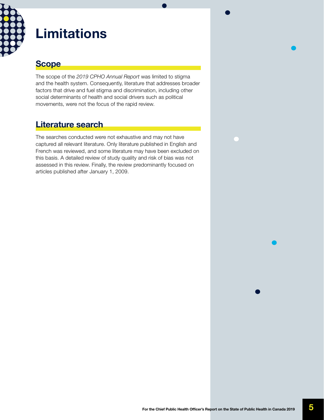<span id="page-4-0"></span>

### Limitations

### **Scope**

The scope of the *2019 CPHO Annual Report* was limited to stigma and the health system. Consequently, literature that addresses broader factors that drive and fuel stigma and discrimination, including other social determinants of health and social drivers such as political movements, were not the focus of the rapid review.

### Literature search

The searches conducted were not exhaustive and may not have captured all relevant literature. Only literature published in English and French was reviewed, and some literature may have been excluded on this basis. A detailed review of study quality and risk of bias was not assessed in this review. Finally, the review predominantly focused on articles published after January 1, 2009.

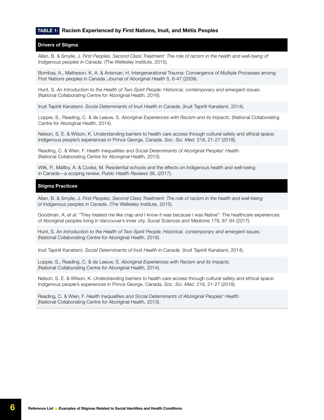#### <span id="page-5-0"></span>TABLE 1: Racism Experienced by First Nations, Inuit, and Métis Peoples

#### Drivers of Stigma

Allan, B. & Smylie, J. *First Peoples, Second Class Treatment: The role of racism in the health and well-being of Indigenous peoples in Canada*. (The Wellesley Institute, 2015).

Bombay, A., Matheson, K. A. & Anisman, H. Intergenerational Trauma: Convergence of Multiple Processes among First Nations peoples in Canada. *Journal of Aboriginal Health* 5, 6-47 (2009).

Hunt, S. *An Introduction to the Health of Two-Spirit People: Historical, contemporary and emergent issues*. (National Collaborating Centre for Aboriginal Health, 2016).

Inuit Tapiriit Kanatami. *Social Determinants of Inuit Health in Canada*. (Inuit Tapiriit Kanatami, 2014).

Loppie, S., Reading, C. & de Leeuw, S. *Aboriginal Experiences with Racism and its Impacts*. (National Collaborating Centre for Aboriginal Health, 2014).

Nelson, S. E. & Wilson, K. Understanding barriers to health care access through cultural safety and ethical space: Indigenous people's experiences in Prince George, Canada. *Soc. Sci. Med.* 218, 21-27 (2018).

Reading, C. & Wien, F. *Health Inequalities and Social Determinants of Aboriginal Peoples' Health*. (National Collaborating Centre for Aboriginal Health, 2013).

Wilk, P., Maltby, A. & Cooke, M. Residential schools and the effects on Indigenous health and well-being in Canada—a scoping review. *Public Health Reviews* 38, (2017).

#### Stigma Practices

Allan, B. & Smylie, J. *First Peoples, Second Class Treatment: The role of racism in the health and well-being of Indigenous peoples in Canada*. (The Wellesley Institute, 2015).

Goodman, A. *et al.* "They treated me like crap and I know it was because I was Native": The healthcare experiences of Aboriginal peoples living in Vancouver's inner city. *Social Sciences and Medicine* 178, 87-94 (2017).

Hunt, S. *An Introduction to the Health of Two-Spirit People: Historical, contemporary and emergent issues.*  (National Collaborating Centre for Aboriginal Health, 2016).

Inuit Tapiriit Kanatami. *Social Determinants of Inuit Health in Canada.* (Inuit Tapiriit Kanatami, 2014).

Loppie, S., Reading, C. & de Leeuw, S. *Aboriginal Experiences with Racism and its Impacts.* (National Collaborating Centre for Aboriginal Health, 2014).

Nelson, S. E. & Wilson, K. Understanding barriers to health care access through cultural safety and ethical space: Indigenous people's experiences in Prince George, Canada. *Soc. Sci. Med.* 218, 21-27 (2018).

Reading, C. & Wien, F. *Health Inequalities and Social Determinants of Aboriginal Peoples' Health.* (National Collaborating Centre for Aboriginal Health, 2013).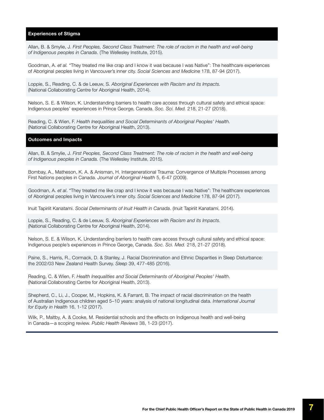#### Experiences of Stigma

Allan, B. & Smylie, J. *First Peoples, Second Class Treatment: The role of racism in the health and well-being of Indigenous peoples in Canada*. (The Wellesley Institute, 2015).

Goodman, A. *et al.* "They treated me like crap and I know it was because I was Native": The healthcare experiences of Aboriginal peoples living in Vancouver's inner city. *Social Sciences and Medicine* 178, 87-94 (2017).

Loppie, S., Reading, C. & de Leeuw, S. *Aboriginal Experiences with Racism and its Impacts.* (National Collaborating Centre for Aboriginal Health, 2014).

Nelson, S. E. & Wilson, K. Understanding barriers to health care access through cultural safety and ethical space: Indigenous peoples' experiences in Prince George, Canada. *Soc. Sci. Med.* 218, 21-27 (2018).

Reading, C. & Wien, F. *Health Inequalities and Social Determinants of Aboriginal Peoples' Health.*  (National Collaborating Centre for Aboriginal Health, 2013).

#### Outcomes and Impacts

Allan, B. & Smylie, J. *First Peoples, Second Class Treatment: The role of racism in the health and well-being of Indigenous peoples in Canada.* (The Wellesley Institute, 2015).

Bombay, A., Matheson, K. A. & Anisman, H. Intergenerational Trauma: Convergence of Multiple Processes among First Nations peoples in Canada. *Journal of Aboriginal Health* 5, 6-47 (2009).

Goodman, A. *et al*. "They treated me like crap and I know it was because I was Native": The healthcare experiences of Aboriginal peoples living in Vancouver's inner city. *Social Sciences and Medicine* 178, 87-94 (2017).

Inuit Tapiriit Kanatami. *Social Determinants of Inuit Health in Canada*. (Inuit Tapiriit Kanatami, 2014).

Loppie, S., Reading, C. & de Leeuw, S. *Aboriginal Experiences with Racism and its Impacts.* (National Collaborating Centre for Aboriginal Health, 2014).

Nelson, S. E. & Wilson, K. Understanding barriers to health care access through cultural safety and ethical space: Indigenous people's experiences in Prince George, Canada. *Soc. Sci. Med.* 218, 21-27 (2018).

Paine, S., Harris, R., Cormack, D. & Stanley, J. Racial Discrimination and Ethnic Disparities in Sleep Disturbance: the 2002/03 New Zealand Health Survey. *Sleep* 39, 477-485 (2016).

Reading, C. & Wien, F. *Health Inequalities and Social Determinants of Aboriginal Peoples' Health*. (National Collaborating Centre for Aboriginal Health, 2013).

Shepherd, C., Li, J., Cooper, M., Hopkins, K. & Farrant, B. The impact of racial discrimination on the health of Australian Indigenous children aged 5–10 years: analysis of national longitudinal data. *International Journal for Equity in Health* 16, 1-12 (2017).

Wilk, P., Maltby, A. & Cooke, M. Residential schools and the effects on Indigenous health and well-being in Canada—a scoping review. *Public Health Reviews* 38, 1-23 (2017).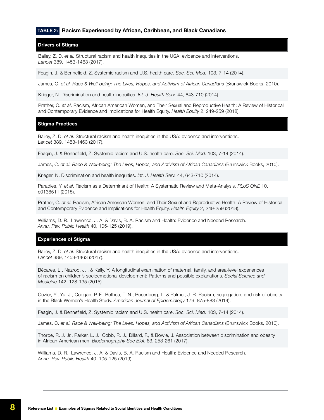#### <span id="page-7-0"></span>TABLE 2: Racism Experienced by African, Caribbean, and Black Canadians

#### Drivers of Stigma

Bailey, Z. D. *et al.* Structural racism and health inequities in the USA: evidence and interventions. *Lancet* 389, 1453-1463 (2017).

Feagin, J. & Bennefield, Z. Systemic racism and U.S. health care. *Soc. Sci. Med.* 103, 7-14 (2014).

James, C. *et al. Race & Well-being: The Lives, Hopes, and Activism of African Canadians* (Brunswick Books, 2010).

Krieger, N. Discrimination and health inequities. *Int. J. Health Serv.* 44, 643-710 (2014).

Prather, C. *et al*. Racism, African American Women, and Their Sexual and Reproductive Health: A Review of Historical and Contemporary Evidence and Implications for Health Equity. *Health Equity* 2, 249-259 (2018).

#### Stigma Practices

Bailey, Z. D. *et al.* Structural racism and health inequities in the USA: evidence and interventions. *Lancet* 389, 1453-1463 (2017).

Feagin, J. & Bennefield, Z. Systemic racism and U.S. health care. *Soc. Sci. Med.* 103, 7-14 (2014).

James, C. *et al. Race & Well-being: The Lives, Hopes, and Activism of African Canadians* (Brunswick Books, 2010).

Krieger, N. Discrimination and health inequities. *Int. J. Health Serv.* 44, 643-710 (2014).

Paradies, Y. *et al*. Racism as a Determinant of Health: A Systematic Review and Meta-Analysis. *PLoS ONE* 10, e0138511 (2015).

Prather, C. *et al.* Racism, African American Women, and Their Sexual and Reproductive Health: A Review of Historical and Contemporary Evidence and Implications for Health Equity. *Health Equity* 2, 249-259 (2018).

Williams, D. R., Lawrence, J. A. & Davis, B. A. Racism and Health: Evidence and Needed Research. *Annu. Rev. Public Health* 40, 105-125 (2019).

#### Experiences of Stigma

Bailey, Z. D. *et al.* Structural racism and health inequities in the USA: evidence and interventions. *Lancet* 389, 1453-1463 (2017).

Bécares, L., Nazroo, J. , & Kelly, Y. A longitudinal examination of maternal, family, and area-level experiences of racism on children's socioemotional development: Patterns and possible explanations. *Social Science and Medicine* 142, 128-135 (2015).

Cozier, Y., Yu, J., Coogan, P. F., Bethea, T. N., Rosenberg, L. & Palmer, J. R. Racism, segregation, and risk of obesity in the Black Women's Health Study. *American Journal of Epidemiology* 179, 875-883 (2014).

Feagin, J. & Bennefield, Z. Systemic racism and U.S. health care. *Soc. Sci. Med.* 103, 7-14 (2014).

James, C. *et al. Race & Well-being: The Lives, Hopes, and Activism of African Canadians* (Brunswick Books, 2010).

Thorpe, R. J. Jr., Parker, L. J., Cobb, R. J., Dillard, F., & Bowie, J. Association between discrimination and obesity in African-American men. *Biodemography Soc Biol*. 63, 253-261 (2017).

Williams, D. R., Lawrence, J. A. & Davis, B. A. Racism and Health: Evidence and Needed Research. *Annu. Rev. Public Health* 40, 105-125 (2019).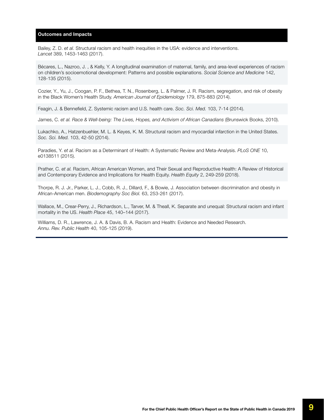Bailey, Z. D. *et al.* Structural racism and health inequities in the USA: evidence and interventions. *Lancet* 389, 1453-1463 (2017).

Bécares, L., Nazroo, J. , & Kelly, Y. A longitudinal examination of maternal, family, and area-level experiences of racism on children's socioemotional development: Patterns and possible explanations. *Social Science and Medicine* 142, 128-135 (2015).

Cozier, Y., Yu, J., Coogan, P. F., Bethea, T. N., Rosenberg, L. & Palmer, J. R. Racism, segregation, and risk of obesity in the Black Women's Health Study. *American Journal of Epidemiology* 179, 875-883 (2014).

Feagin, J. & Bennefield, Z. Systemic racism and U.S. health care. *Soc. Sci. Med.* 103, 7-14 (2014).

James, C. *et al. Race & Well-being: The Lives, Hopes, and Activism of African Canadians* (Brunswick Books, 2010).

Lukachko, A., Hatzenbuehler, M. L. & Keyes, K. M. Structural racism and myocardial infarction in the United States. *Soc. Sci. Med.* 103, 42-50 (2014).

Paradies, Y. *et al.* Racism as a Determinant of Health: A Systematic Review and Meta-Analysis. *PLoS ONE* 10, e0138511 (2015).

Prather, C. *et al.* Racism, African American Women, and Their Sexual and Reproductive Health: A Review of Historical and Contemporary Evidence and Implications for Health Equity. *Health Equity* 2, 249-259 (2018).

Thorpe, R. J. Jr., Parker, L. J., Cobb, R. J., Dillard, F., & Bowie, J. Association between discrimination and obesity in African-American men. *Biodemography Soc Biol.* 63, 253-261 (2017).

Wallace, M., Crear-Perry, J., Richardson, L., Tarver, M. & Theall, K. Separate and unequal: Structural racism and infant mortality in the US. *Health Place* 45, 140–144 (2017).

Williams, D. R., Lawrence, J. A. & Davis, B. A. Racism and Health: Evidence and Needed Research. *Annu. Rev. Public Health* 40, 105-125 (2019).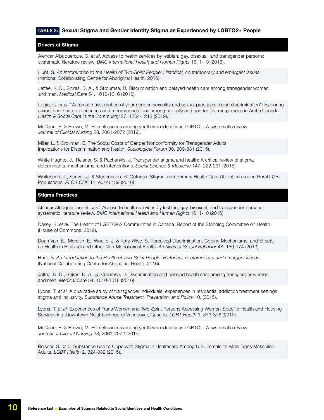#### <span id="page-9-0"></span>TABLE 3: Sexual Stigma and Gender Identity Stigma as Experienced by LGBTQ2+ People

#### Drivers of Stigma

Alencar Albuquerque, G. e*t al*. Access to health services by lesbian, gay, bisexual, and transgender persons: systematic literature review. *BMC International Health and Human Rights* 16, 1-10 (2016).

Hunt, S. *An Introduction to the Health of Two-Spirit People: Historical, contemporary and emergent issues.* (National Collaborating Centre for Aboriginal Health, 2016).

Jaffee, K. D., Shires, D. A., & Stroumsa, D. Discrimination and delayed health care among transgender women and men. *Medical Care* 54, 1010-1016 (2016).

Logie, C. *et al.* "Automatic assumption of your gender, sexuality and sexual practices is also discrimination": Exploring sexual healthcare experiences and recommendations among sexually and gender diverse persons in Arctic Canada. *Health & Social Care in the Community* 27, 1204-1213 (2019).

McCann, E. & Brown, M. Homelessness among youth who identify as LGBTQ+: A systematic review. *Journal of Clinical Nursing* 28, 2061-2072 (2019).

Miller, L. & Grollman, E. The Social Costs of Gender Nonconformity for Transgender Adults: Implications for Discrimination and Health. *Sociological Forum* 30, 809-831 (2015).

White Hughto, J., Reisner, S. & Pachankis, J. Transgender stigma and health: A critical review of stigma determinants, mechanisms, and interventions. *Social Science & Medicine* 147, 222-231 (2015).

Whitehead, J., Shaver, J. & Stephenson, R. Outness, Stigma, and Primary Health Care Utilization among Rural LGBT Populations. *PLOS ONE* 11, e0146139 (2016).

#### Stigma Practices

Alencar Albuquerque, G. *et al*. Access to health services by lesbian, gay, bisexual, and transgender persons: systematic literature review. *BMC International Health and Human Rights* 16, 1-10 (2016).

Casey, B. *et al.* The Health of LGBTQIA2 Communities in Canada: Report of the Standing Committee on Health. (House of Commons, 2019).

Doan Van, E., Mereish, E., Woulfe, J. & Katz-Wise, S. Perceived Discrimination, Coping Mechanisms, and Effects on Health in Bisexual and Other Non-Monosexual Adults. *Archives of Sexual Behavior* 48, 159-174 (2019).

Hunt, S. *An Introduction to the Health of Two-Spirit People: Historical, contemporary and emergent issues.*  (National Collaborating Centre for Aboriginal Health, 2016).

Jaffee, K. D., Shires, D. A., & Stroumsa, D. Discrimination and delayed health care among transgender women and men. *Medical Care* 54, 1010-1016 (2016).

Lyons, T. *et al.* A qualitative study of transgender individuals' experiences in residential addiction treatment settings: stigma and inclusivity. *Substance Abuse Treatment, Prevention, and Policy* 10, (2015).

Lyons, T. *et al.* Experiences of Trans Women and Two-Spirit Persons Accessing Women-Specific Health and Housing Services in a Downtown Neighborhood of Vancouver, Canada. *LGBT Health* 3, 373-378 (2016).

McCann, E. & Brown, M. Homelessness among youth who identify as LGBTQ+: A systematic review. *Journal of Clinical Nursing* 28, 2061-2072 (2019).

Reisner, S. *et al*. Substance Use to Cope with Stigma in Healthcare Among U.S. Female-to-Male Trans Masculine Adults. *LGBT Health* 2, 324-332 (2015).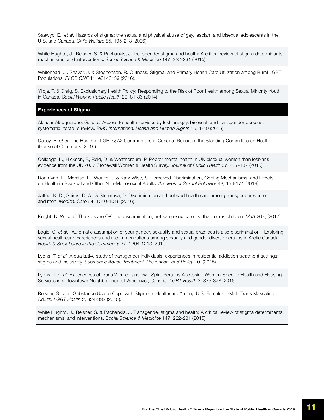Saewyc, E., *et al*. Hazards of stigma: the sexual and physical abuse of gay, lesbian, and bisexual adolescents in the U.S. and Canada. *Child Welfare* 85, 195-213 (2006).

White Hughto, J., Reisner, S. & Pachankis, J. Transgender stigma and health: A critical review of stigma determinants, mechanisms, and interventions. *Social Science & Medicine* 147, 222-231 (2015).

Whitehead, J., Shaver, J. & Stephenson, R. Outness, Stigma, and Primary Health Care Utilization among Rural LGBT Populations. *PLOS ONE* 11, e0146139 (2016).

Ylioja, T. & Craig, S. Exclusionary Health Policy: Responding to the Risk of Poor Health among Sexual Minority Youth in Canada. *Social Work in Public Health* 29, 81-86 (2014).

#### Experiences of Stigma

Alencar Albuquerque, G. *et al.* Access to health services by lesbian, gay, bisexual, and transgender persons: systematic literature review. *BMC International Health and Human Rights* 16, 1-10 (2016).

Casey, B. *et al.* The Health of LGBTQIA2 Communities in Canada: Report of the Standing Committee on Health. (House of Commons, 2019).

Colledge, L., Hickson, F., Reid, D. & Weatherburn, P. Poorer mental health in UK bisexual women than lesbians: evidence from the UK 2007 Stonewall Women's Health Survey. *Journal of Public Health* 37, 427-437 (2015).

Doan Van, E., Mereish, E., Woulfe, J. & Katz-Wise, S. Perceived Discrimination, Coping Mechanisms, and Effects on Health in Bisexual and Other Non-Monosexual Adults. *Archives of Sexual Behavior* 48, 159-174 (2019).

Jaffee, K. D., Shires, D. A., & Stroumsa, D. Discrimination and delayed health care among transgender women and men. *Medical Care* 54, 1010-1016 (2016).

Knight, K. W. *et al.* The kids are OK: it is discrimination, not same-sex parents, that harms children. *MJA* 207, (2017).

Logie, C. *et al.* "Automatic assumption of your gender, sexuality and sexual practices is also discrimination": Exploring sexual healthcare experiences and recommendations among sexually and gender diverse persons in Arctic Canada. *Health & Social Care in the Community* 27, 1204-1213 (2019).

Lyons, T. *et al.* A qualitative study of transgender individuals' experiences in residential addiction treatment settings: stigma and inclusivity. *Substance Abuse Treatment, Prevention, and Policy* 10, (2015).

Lyons, T. *et al.* Experiences of Trans Women and Two-Spirit Persons Accessing Women-Specific Health and Housing Services in a Downtown Neighborhood of Vancouver, Canada. *LGBT Health* 3, 373-378 (2016).

Reisner, S. *et al.* Substance Use to Cope with Stigma in Healthcare Among U.S. Female-to-Male Trans Masculine Adults. *LGBT Health* 2, 324-332 (2015).

White Hughto, J., Reisner, S. & Pachankis, J. Transgender stigma and health: A critical review of stigma determinants, mechanisms, and interventions. *Social Science & Medicine* 147, 222-231 (2015).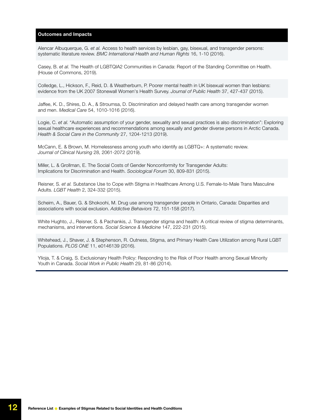Alencar Albuquerque, G. *et al.* Access to health services by lesbian, gay, bisexual, and transgender persons: systematic literature review. *BMC International Health and Human Rights* 16, 1-10 (2016).

Casey, B. *et al.* The Health of LGBTQIA2 Communities in Canada: Report of the Standing Committee on Health. (House of Commons, 2019).

Colledge, L., Hickson, F., Reid, D. & Weatherburn, P. Poorer mental health in UK bisexual women than lesbians: evidence from the UK 2007 Stonewall Women's Health Survey. *Journal of Public Health* 37, 427-437 (2015).

Jaffee, K. D., Shires, D. A., & Stroumsa, D. Discrimination and delayed health care among transgender women and men. *Medical Care* 54, 1010-1016 (2016).

Logie, C. *et al.* "Automatic assumption of your gender, sexuality and sexual practices is also discrimination": Exploring sexual healthcare experiences and recommendations among sexually and gender diverse persons in Arctic Canada. *Health & Social Care in the Community* 27, 1204-1213 (2019).

McCann, E. & Brown, M. Homelessness among youth who identify as LGBTQ+: A systematic review. *Journal of Clinical Nursing* 28, 2061-2072 (2019).

Miller, L. & Grollman, E. The Social Costs of Gender Nonconformity for Transgender Adults: Implications for Discrimination and Health. *Sociological Forum* 30, 809-831 (2015).

Reisner, S. *et al.* Substance Use to Cope with Stigma in Healthcare Among U.S. Female-to-Male Trans Masculine Adults. *LGBT Health* 2, 324-332 (2015).

Scheim, A., Bauer, G. & Shokoohi, M. Drug use among transgender people in Ontario, Canada: Disparities and associations with social exclusion. *Addictive Behaviors* 72, 151-158 (2017).

White Hughto, J., Reisner, S. & Pachankis, J. Transgender stigma and health: A critical review of stigma determinants, mechanisms, and interventions. *Social Science & Medicine* 147, 222-231 (2015).

Whitehead, J., Shaver, J. & Stephenson, R. Outness, Stigma, and Primary Health Care Utilization among Rural LGBT Populations. *PLOS ONE* 11, e0146139 (2016).

Ylioja, T. & Craig, S. Exclusionary Health Policy: Responding to the Risk of Poor Health among Sexual Minority Youth in Canada. *Social Work in Public Health* 29, 81-86 (2014).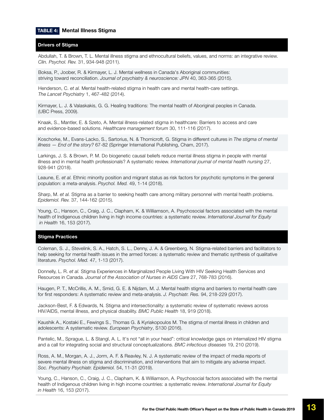#### <span id="page-12-0"></span>TABLE 4: Mental Illness Stigma

#### Drivers of Stigma

Abdullah, T. & Brown, T. L. Mental illness stigma and ethnocultural beliefs, values, and norms: an integrative review. *Clin. Psychol. Rev.* 31, 934-948 (2011).

Boksa, P., Joober, R. & Kirmayer, L. J. Mental wellness in Canada's Aboriginal communities: striving toward reconciliation. *Journal of psychiatry & neuroscience: JPN* 40, 363-365 (2015).

Henderson, C. *et al.* Mental health-related stigma in health care and mental health-care settings. *The Lancet Psychiatry* 1, 467-482 (2014).

Kirmayer, L. J. & Valaskakis, G. G. Healing traditions: The mental health of Aboriginal peoples in Canada. (UBC Press, 2009).

Knaak, S., Mantler, E. & Szeto, A. Mental illness-related stigma in healthcare: Barriers to access and care and evidence-based solutions. *Healthcare management forum* 30, 111-116 (2017).

Koschorke, M., Evans-Lacko, S., Sartorius, N. & Thornicroft, G. Stigma in different cultures in *The stigma of mental illness — End of the story?* 67-82 (Springer International Publishing, Cham, 2017).

Larkings, J. S. & Brown, P. M. Do biogenetic causal beliefs reduce mental illness stigma in people with mental illness and in mental health professionals? A systematic review. *International journal of mental health nursing* 27, 928-941 (2018).

Leaune, E. *et al.* Ethnic minority position and migrant status as risk factors for psychotic symptoms in the general population: a meta-analysis. *Psychol. Med.* 49, 1-14 (2018).

Sharp, M. *et al.* Stigma as a barrier to seeking health care among military personnel with mental health problems. *Epidemiol. Rev.* 37, 144-162 (2015).

Young, C., Hanson, C., Craig, J. C., Clapham, K. & Williamson, A. Psychosocial factors associated with the mental health of Indigenous children living in high income countries: a systematic review. *International Journal for Equity in Health* 16, 153 (2017).

#### Stigma Practices

Coleman, S. J., Stevelink, S. A., Hatch, S. L., Denny, J. A. & Greenberg, N. Stigma-related barriers and facilitators to help seeking for mental health issues in the armed forces: a systematic review and thematic synthesis of qualitative literature. *Psychol. Med.* 47, 1-13 (2017).

Donnelly, L. R. *et al.* Stigma Experiences in Marginalized People Living With HIV Seeking Health Services and Resources in Canada. *Journal of the Association of Nurses in AIDS Care* 27, 768-783 (2016).

Haugen, P. T., McCrillis, A. M., Smid, G. E. & Nijdam, M. J. Mental health stigma and barriers to mental health care for first responders: A systematic review and meta-analysis. *J. Psychiatr. Res.* 94, 218-229 (2017).

Jackson-Best, F. & Edwards, N. Stigma and intersectionality: a systematic review of systematic reviews across HIV/AIDS, mental illness, and physical disability. *BMC Public Health* 18, 919 (2018).

Kaushik A., Kostaki E., Fewings S., Thomas G. & Kyriakopoulos M. The stigma of mental illness in children and adolescents: A systematic review. *European Psychiatry*, S130 (2016).

Pantelic, M., Sprague, L. & Stangl, A. L. It's not "all in your head": critical knowledge gaps on internalized HIV stigma and a call for integrating social and structural conceptualizations. *BMC infectious diseases* 19, 210 (2019).

Ross, A. M., Morgan, A. J., Jorm, A. F. & Reavley, N. J. A systematic review of the impact of media reports of severe mental illness on stigma and discrimination, and interventions that aim to mitigate any adverse impact. *Soc. Psychiatry Psychiatr. Epidemiol.* 54, 11-31 (2019).

Young, C., Hanson, C., Craig, J. C., Clapham, K. & Williamson, A. Psychosocial factors associated with the mental health of Indigenous children living in high income countries: a systematic review. *International Journal for Equity in Health* 16, 153 (2017).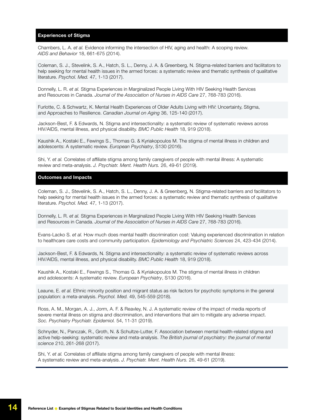#### Experiences of Stigma

Chambers, L. A. *et al.* Evidence informing the intersection of HIV, aging and health: A scoping review. *AIDS and Behavior* 18, 661-675 (2014).

Coleman, S. J., Stevelink, S. A., Hatch, S. L., Denny, J. A. & Greenberg, N. Stigma-related barriers and facilitators to help seeking for mental health issues in the armed forces: a systematic review and thematic synthesis of qualitative literature. *Psychol. Med.* 47, 1-13 (2017).

Donnelly, L. R. *et al.* Stigma Experiences in Marginalized People Living With HIV Seeking Health Services and Resources in Canada. *Journal of the Association of Nurses in AIDS Care* 27, 768-783 (2016).

Furlotte, C. & Schwartz, K. Mental Health Experiences of Older Adults Living with HIV: Uncertainty, Stigma, and Approaches to Resilience. *Canadian Journal on Aging* 36, 125-140 (2017).

Jackson-Best, F. & Edwards, N. Stigma and intersectionality: a systematic review of systematic reviews across HIV/AIDS, mental illness, and physical disability. *BMC Public Health* 18, 919 (2018).

Kaushik A., Kostaki E., Fewings S., Thomas G. & Kyriakopoulos M. The stigma of mental illness in children and adolescents: A systematic review. *European Psychiatry*, S130 (2016).

Shi, Y. *et al.* Correlates of affiliate stigma among family caregivers of people with mental illness: A systematic review and meta-analysis. *J. Psychiatr. Ment. Health Nurs.* 26, 49-61 (2019).

#### Outcomes and Impacts

Coleman, S. J., Stevelink, S. A., Hatch, S. L., Denny, J. A. & Greenberg, N. Stigma-related barriers and facilitators to help seeking for mental health issues in the armed forces: a systematic review and thematic synthesis of qualitative literature. *Psychol. Med.* 47, 1-13 (2017).

Donnelly, L. R. *et al.* Stigma Experiences in Marginalized People Living With HIV Seeking Health Services and Resources in Canada. *Journal of the Association of Nurses in AIDS Care* 27, 768-783 (2016).

Evans-Lacko S. *et al.* How much does mental health discrimination cost: Valuing experienced discrimination in relation to healthcare care costs and community participation. *Epidemiology and Psychiatric Sciences* 24, 423-434 (2014).

Jackson-Best, F. & Edwards, N. Stigma and intersectionality: a systematic review of systematic reviews across HIV/AIDS, mental illness, and physical disability. *BMC Public Health* 18, 919 (2018).

Kaushik A., Kostaki E., Fewings S., Thomas G. & Kyriakopoulos M. The stigma of mental illness in children and adolescents: A systematic review. *European Psychiatry*, S130 (2016).

Leaune, E. *et al.* Ethnic minority position and migrant status as risk factors for psychotic symptoms in the general population: a meta-analysis. *Psychol. Med.* 49, 545-559 (2018).

Ross, A. M., Morgan, A. J., Jorm, A. F. & Reavley, N. J. A systematic review of the impact of media reports of severe mental illness on stigma and discrimination, and interventions that aim to mitigate any adverse impact. *Soc. Psychiatry Psychiatr. Epidemiol.* 54, 11-31 (2019).

Schnyder, N., Panczak, R., Groth, N. & Schultze-Lutter, F. Association between mental health-related stigma and active help-seeking: systematic review and meta-analysis. *The British journal of psychiatry: the journal of mental science* 210, 261-268 (2017).

Shi, Y. *et al.* Correlates of affiliate stigma among family caregivers of people with mental illness: A systematic review and meta-analysis. *J. Psychiatr. Ment. Health Nurs.* 26, 49-61 (2019).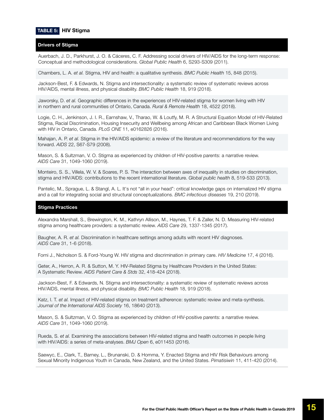#### <span id="page-14-0"></span>TABLE 5: HIV Stigma

#### Drivers of Stigma

Auerbach, J. D., Parkhurst, J. O. & Cáceres, C. F. Addressing social drivers of HIV/AIDS for the long-term response: Conceptual and methodological considerations. *Global Public Health* 6, S293-S309 (2011).

Chambers, L. A. *et al.* Stigma, HIV and health: a qualitative synthesis. *BMC Public Health* 15, 848 (2015).

Jackson-Best, F. & Edwards, N. Stigma and intersectionality: a systematic review of systematic reviews across HIV/AIDS, mental illness, and physical disability. *BMC Public Health* 18, 919 (2018).

Jaworsky, D. *et al.* Geographic differences in the experiences of HIV-related stigma for women living with HIV in northern and rural communities of Ontario, Canada. *Rural & Remote Health* 18, 4522 (2018).

Logie, C. H., Jenkinson, J. I. R., Earnshaw, V., Tharao, W. & Loutfy, M. R. A Structural Equation Model of HIV-Related Stigma, Racial Discrimination, Housing Insecurity and Wellbeing among African and Caribbean Black Women Living with HIV in Ontario, Canada. *PLoS ONE* 11, e0162826 (2016).

Mahajan, A. P. *et al.* Stigma in the HIV/AIDS epidemic: a review of the literature and recommendations for the way forward. *AIDS* 22, S67-S79 (2008).

Mason, S. & Sultzman, V. O. Stigma as experienced by children of HIV-positive parents: a narrative review. *AIDS Care* 31, 1049-1060 (2019).

Monteiro, S. S., Villela, W. V. & Soares, P. S. The interaction between axes of inequality in studies on discrimination, stigma and HIV/AIDS: contributions to the recent international literature. *Global public health* 8, 519-533 (2013).

Pantelic, M., Sprague, L. & Stangl, A. L. It's not "all in your head": critical knowledge gaps on internalized HIV stigma and a call for integrating social and structural conceptualizations. *BMC infectious diseases* 19, 210 (2019).

#### Stigma Practices

Alexandra Marshall, S., Brewington, K. M., Kathryn Allison, M., Haynes, T. F. & Zaller, N. D. Measuring HIV-related stigma among healthcare providers: a systematic review. *AIDS Care* 29, 1337-1345 (2017).

Baugher, A. R. *et al.* Discrimination in healthcare settings among adults with recent HIV diagnoses. *AIDS Care* 31, 1-6 (2018).

Forni J., Nicholson S. & Ford-Young W. HIV stigma and discrimination in primary care. *HIV Medicine* 17, 4 (2016).

Geter, A., Herron, A. R. & Sutton, M. Y. HIV-Related Stigma by Healthcare Providers in the United States: A Systematic Review. *AIDS Patient Care & Stds* 32, 418-424 (2018).

Jackson-Best, F. & Edwards, N. Stigma and intersectionality: a systematic review of systematic reviews across HIV/AIDS, mental illness, and physical disability. *BMC Public Health* 18, 919 (2018).

Katz, I. T. *et al.* Impact of HIV-related stigma on treatment adherence: systematic review and meta-synthesis. *Journal of the International AIDS Society* 16, 18640 (2013).

Mason, S. & Sultzman, V. O. Stigma as experienced by children of HIV-positive parents: a narrative review. *AIDS Care* 31, 1049-1060 (2019).

Rueda, S. *et al.* Examining the associations between HIV-related stigma and health outcomes in people living with HIV/AIDS: a series of meta-analyses. *BMJ Open* 6, e011453 (2016).

Saewyc, E., Clark, T., Barney, L., Brunanski, D. & Homma, Y. Enacted Stigma and HIV Risk Behaviours among Sexual Minority Indigenous Youth in Canada, New Zealand, and the United States. *Pimatisiwin* 11, 411-420 (2014).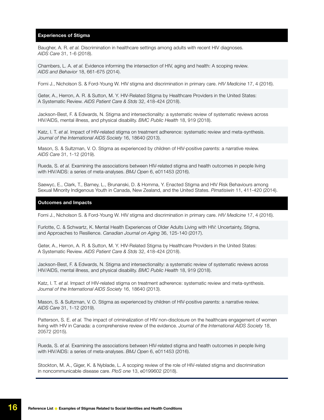#### Experiences of Stigma

Baugher, A. R. *et al.* Discrimination in healthcare settings among adults with recent HIV diagnoses. *AIDS Care* 31, 1-6 (2018).

Chambers, L. A. *et al.* Evidence informing the intersection of HIV, aging and health: A scoping review. *AIDS and Behavior* 18, 661-675 (2014).

Forni J., Nicholson S. & Ford-Young W. HIV stigma and discrimination in primary care. *HIV Medicine* 17, 4 (2016).

Geter, A., Herron, A. R. & Sutton, M. Y. HIV-Related Stigma by Healthcare Providers in the United States: A Systematic Review. *AIDS Patient Care & Stds* 32, 418-424 (2018).

Jackson-Best, F. & Edwards, N. Stigma and intersectionality: a systematic review of systematic reviews across HIV/AIDS, mental illness, and physical disability. *BMC Public Health* 18, 919 (2018).

Katz, I. T. *et al.* Impact of HIV-related stigma on treatment adherence: systematic review and meta-synthesis. *Journal of the International AIDS Society* 16, 18640 (2013).

Mason, S. & Sultzman, V. O. Stigma as experienced by children of HIV-positive parents: a narrative review. *AIDS Care* 31, 1-12 (2019).

Rueda, S. *et al.* Examining the associations between HIV-related stigma and health outcomes in people living with HIV/AIDS: a series of meta-analyses. *BMJ Open* 6, e011453 (2016).

Saewyc, E., Clark, T., Barney, L., Brunanski, D. & Homma, Y. Enacted Stigma and HIV Risk Behaviours among Sexual Minority Indigenous Youth in Canada, New Zealand, and the United States. *Pimatisiwin* 11, 411-420 (2014).

#### Outcomes and Impacts

Forni J., Nicholson S. & Ford-Young W. HIV stigma and discrimination in primary care. *HIV Medicine* 17, 4 (2016).

Furlotte, C. & Schwartz, K. Mental Health Experiences of Older Adults Living with HIV: Uncertainty, Stigma, and Approaches to Resilience. *Canadian Journal on Aging* 36, 125-140 (2017).

Geter, A., Herron, A. R. & Sutton, M. Y. HIV-Related Stigma by Healthcare Providers in the United States: A Systematic Review. *AIDS Patient Care & Stds* 32, 418-424 (2018).

Jackson-Best, F. & Edwards, N. Stigma and intersectionality: a systematic review of systematic reviews across HIV/AIDS, mental illness, and physical disability. *BMC Public Health* 18, 919 (2018).

Katz, I. T. *et al.* Impact of HIV-related stigma on treatment adherence: systematic review and meta-synthesis. *Journal of the International AIDS Society* 16, 18640 (2013).

Mason, S. & Sultzman, V. O. Stigma as experienced by children of HIV-positive parents: a narrative review. *AIDS Care* 31, 1-12 (2019).

Patterson, S. E. et al. The impact of criminalization of HIV non-disclosure on the healthcare engagement of women living with HIV in Canada: a comprehensive review of the evidence. *Journal of the International AIDS Society* 18, 20572 (2015).

Rueda, S. *et al.* Examining the associations between HIV-related stigma and health outcomes in people living with HIV/AIDS: a series of meta-analyses. *BMJ Open* 6, e011453 (2016).

Stockton, M. A., Giger, K. & Nyblade, L. A scoping review of the role of HIV-related stigma and discrimination in noncommunicable disease care. *PloS one* 13, e0199602 (2018).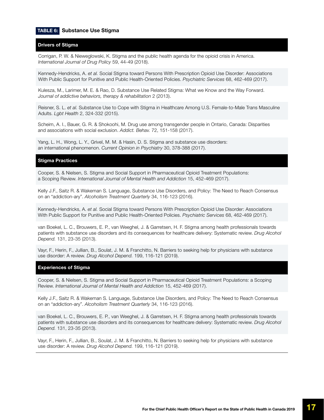#### <span id="page-16-0"></span>TABLE 6: Substance Use Stigma

#### Drivers of Stigma

Corrigan, P. W. & Nieweglowski, K. Stigma and the public health agenda for the opioid crisis in America. *International Journal of Drug Policy* 59, 44-49 (2018).

Kennedy-Hendricks, A. *et al.* Social Stigma toward Persons With Prescription Opioid Use Disorder: Associations With Public Support for Punitive and Public Health-Oriented Policies. *Psychiatric Services* 68, 462-469 (2017).

Kulesza, M., Larimer, M. E. & Rao, D. Substance Use Related Stigma: What we Know and the Way Forward. *Journal of addictive behaviors, therapy & rehabilitation* 2 (2013).

Reisner, S. L. *et al.* Substance Use to Cope with Stigma in Healthcare Among U.S. Female-to-Male Trans Masculine Adults. *Lgbt Health* 2, 324-332 (2015).

Scheim, A. I., Bauer, G. R. & Shokoohi, M. Drug use among transgender people in Ontario, Canada: Disparities and associations with social exclusion. *Addict. Behav.* 72, 151-158 (2017).

Yang, L. H., Wong, L. Y., Grivel, M. M. & Hasin, D. S. Stigma and substance use disorders: an international phenomenon. *Current Opinion in Psychiatry* 30, 378-388 (2017).

#### Stigma Practices

Cooper, S. & Nielsen, S. Stigma and Social Support in Pharmaceutical Opioid Treatment Populations: a Scoping Review. *International Journal of Mental Health and Addiction* 15, 452-469 (2017).

Kelly J.F., Saitz R. & Wakeman S. Language, Substance Use Disorders, and Policy: The Need to Reach Consensus on an "addiction-ary". *Alcoholism Treatment Quarterly* 34, 116-123 (2016).

Kennedy-Hendricks, A. *et al.* Social Stigma toward Persons With Prescription Opioid Use Disorder: Associations With Public Support for Punitive and Public Health-Oriented Policies. *Psychiatric Services* 68, 462-469 (2017).

van Boekel, L. C., Brouwers, E. P., van Weeghel, J. & Garretsen, H. F. Stigma among health professionals towards patients with substance use disorders and its consequences for healthcare delivery: Systematic review. *Drug Alcohol Depend.* 131, 23-35 (2013).

Vayr, F., Herin, F., Jullian, B., Soulat, J. M. & Franchitto, N. Barriers to seeking help for physicians with substance use disorder: A review. *Drug Alcohol Depend.* 199, 116-121 (2019).

#### Experiences of Stigma

Cooper, S. & Nielsen, S. Stigma and Social Support in Pharmaceutical Opioid Treatment Populations: a Scoping Review. *International Journal of Mental Health and Addiction* 15, 452-469 (2017).

Kelly J.F., Saitz R. & Wakeman S. Language, Substance Use Disorders, and Policy: The Need to Reach Consensus on an "addiction-ary". *Alcoholism Treatment Quarterly* 34, 116-123 (2016).

van Boekel, L. C., Brouwers, E. P., van Weeghel, J. & Garretsen, H. F. Stigma among health professionals towards patients with substance use disorders and its consequences for healthcare delivery: Systematic review. *Drug Alcohol Depend.* 131, 23-35 (2013).

Vayr, F., Herin, F., Jullian, B., Soulat, J. M. & Franchitto, N. Barriers to seeking help for physicians with substance use disorder: A review. *Drug Alcohol Depend.* 199, 116-121 (2019).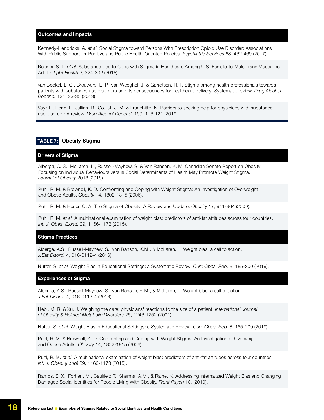<span id="page-17-0"></span>Kennedy-Hendricks, A. *et al.* Social Stigma toward Persons With Prescription Opioid Use Disorder: Associations With Public Support for Punitive and Public Health-Oriented Policies. *Psychiatric Services* 68, 462-469 (2017).

Reisner, S. L. *et al.* Substance Use to Cope with Stigma in Healthcare Among U.S. Female-to-Male Trans Masculine Adults. *Lgbt Health* 2, 324-332 (2015).

van Boekel, L. C., Brouwers, E. P., van Weeghel, J. & Garretsen, H. F. Stigma among health professionals towards patients with substance use disorders and its consequences for healthcare delivery: Systematic review. *Drug Alcohol Depend.* 131, 23-35 (2013).

Vayr, F., Herin, F., Jullian, B., Soulat, J. M. & Franchitto, N. Barriers to seeking help for physicians with substance use disorder: A review. *Drug Alcohol Depend.* 199, 116-121 (2019).

#### TABLE 7: Obesity Stigma

#### Drivers of Stigma

Alberga, A. S., McLaren, L., Russell-Mayhew, S. & Von Ranson, K. M. Canadian Senate Report on Obesity: Focusing on Individual Behaviours versus Social Determinants of Health May Promote Weight Stigma. *Journal of Obesity* 2018 (2018).

Puhl, R. M. & Brownell, K. D. Confronting and Coping with Weight Stigma: An Investigation of Overweight and Obese Adults. *Obesity* 14, 1802-1815 (2006).

Puhl, R. M. & Heuer, C. A. The Stigma of Obesity: A Review and Update. *Obesity* 17, 941-964 (2009).

Puhl, R. M. *et al.* A multinational examination of weight bias: predictors of anti-fat attitudes across four countries. *Int. J. Obes. (Lond)* 39, 1166-1173 (2015).

#### Stigma Practices

Alberga, A.S., Russell-Mayhew, S., von Ranson, K.M., & McLaren, L. Weight bias: a call to action. *J.Eat.Disord.* 4, 016-0112-4 (2016).

Nutter, S. *et al.* Weight Bias in Educational Settings: a Systematic Review. *Curr. Obes. Rep.* 8, 185-200 (2019).

#### Experiences of Stigma

Alberga, A.S., Russell-Mayhew, S., von Ranson, K.M., & McLaren, L. Weight bias: a call to action. *J.Eat.Disord.* 4, 016-0112-4 (2016).

Hebl, M. R. & Xu, J. Weighing the care: physicians' reactions to the size of a patient. *International Journal of Obesity & Related Metabolic Disorders* 25, 1246-1252 (2001).

Nutter, S. *et al.* Weight Bias in Educational Settings: a Systematic Review. *Curr. Obes. Rep.* 8, 185-200 (2019).

Puhl, R. M. & Brownell, K. D. Confronting and Coping with Weight Stigma: An Investigation of Overweight and Obese Adults. *Obesity* 14, 1802-1815 (2006).

Puhl, R. M. *et al.* A multinational examination of weight bias: predictors of anti-fat attitudes across four countries. *Int. J. Obes. (Lond)* 39, 1166-1173 (2015).

Ramos, S. X., Forhan, M., Caulfield T., Sharma, A.M., & Raine, K. Addressing Internalized Weight Bias and Changing Damaged Social Identities for People Living With Obesity. *Front Psych* 10, (2019).